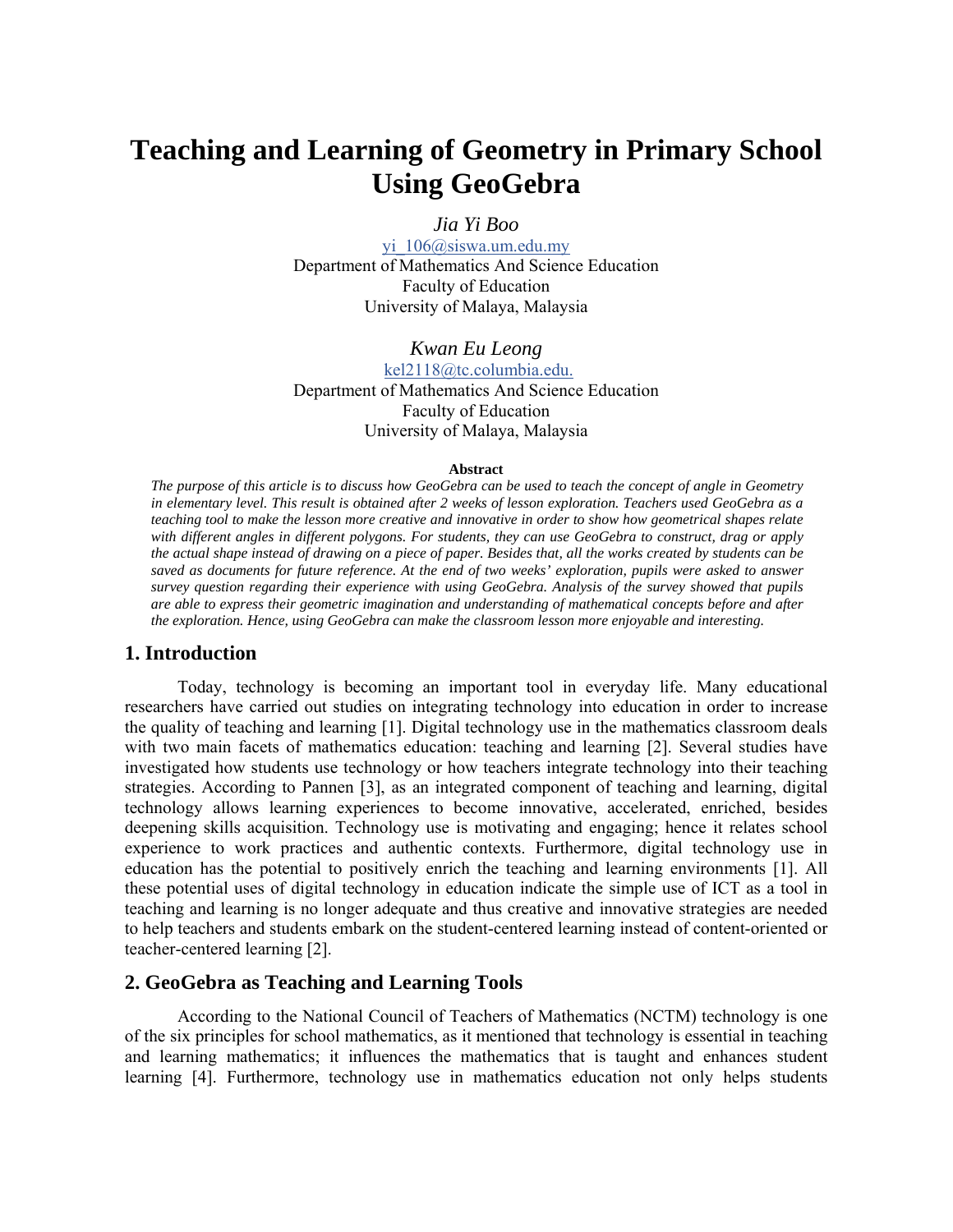# **Teaching and Learning of Geometry in Primary School Using GeoGebra**

*Jia Yi Boo*

yi 106@siswa.um.edu.my Department of Mathematics And Science Education Faculty of Education University of Malaya, Malaysia

*Kwan Eu Leong* kel2118@tc.columbia.edu. Department of Mathematics And Science Education Faculty of Education University of Malaya, Malaysia

#### **Abstract**

*The purpose of this article is to discuss how GeoGebra can be used to teach the concept of angle in Geometry in elementary level. This result is obtained after 2 weeks of lesson exploration. Teachers used GeoGebra as a teaching tool to make the lesson more creative and innovative in order to show how geometrical shapes relate with different angles in different polygons. For students, they can use GeoGebra to construct, drag or apply the actual shape instead of drawing on a piece of paper. Besides that, all the works created by students can be saved as documents for future reference. At the end of two weeks' exploration, pupils were asked to answer survey question regarding their experience with using GeoGebra. Analysis of the survey showed that pupils are able to express their geometric imagination and understanding of mathematical concepts before and after the exploration. Hence, using GeoGebra can make the classroom lesson more enjoyable and interesting.* 

### **1. Introduction**

Today, technology is becoming an important tool in everyday life. Many educational researchers have carried out studies on integrating technology into education in order to increase the quality of teaching and learning [1]. Digital technology use in the mathematics classroom deals with two main facets of mathematics education: teaching and learning [2]. Several studies have investigated how students use technology or how teachers integrate technology into their teaching strategies. According to Pannen [3], as an integrated component of teaching and learning, digital technology allows learning experiences to become innovative, accelerated, enriched, besides deepening skills acquisition. Technology use is motivating and engaging; hence it relates school experience to work practices and authentic contexts. Furthermore, digital technology use in education has the potential to positively enrich the teaching and learning environments [1]. All these potential uses of digital technology in education indicate the simple use of ICT as a tool in teaching and learning is no longer adequate and thus creative and innovative strategies are needed to help teachers and students embark on the student-centered learning instead of content-oriented or teacher-centered learning [2].

#### **2. GeoGebra as Teaching and Learning Tools**

According to the National Council of Teachers of Mathematics (NCTM) technology is one of the six principles for school mathematics, as it mentioned that technology is essential in teaching and learning mathematics; it influences the mathematics that is taught and enhances student learning [4]. Furthermore, technology use in mathematics education not only helps students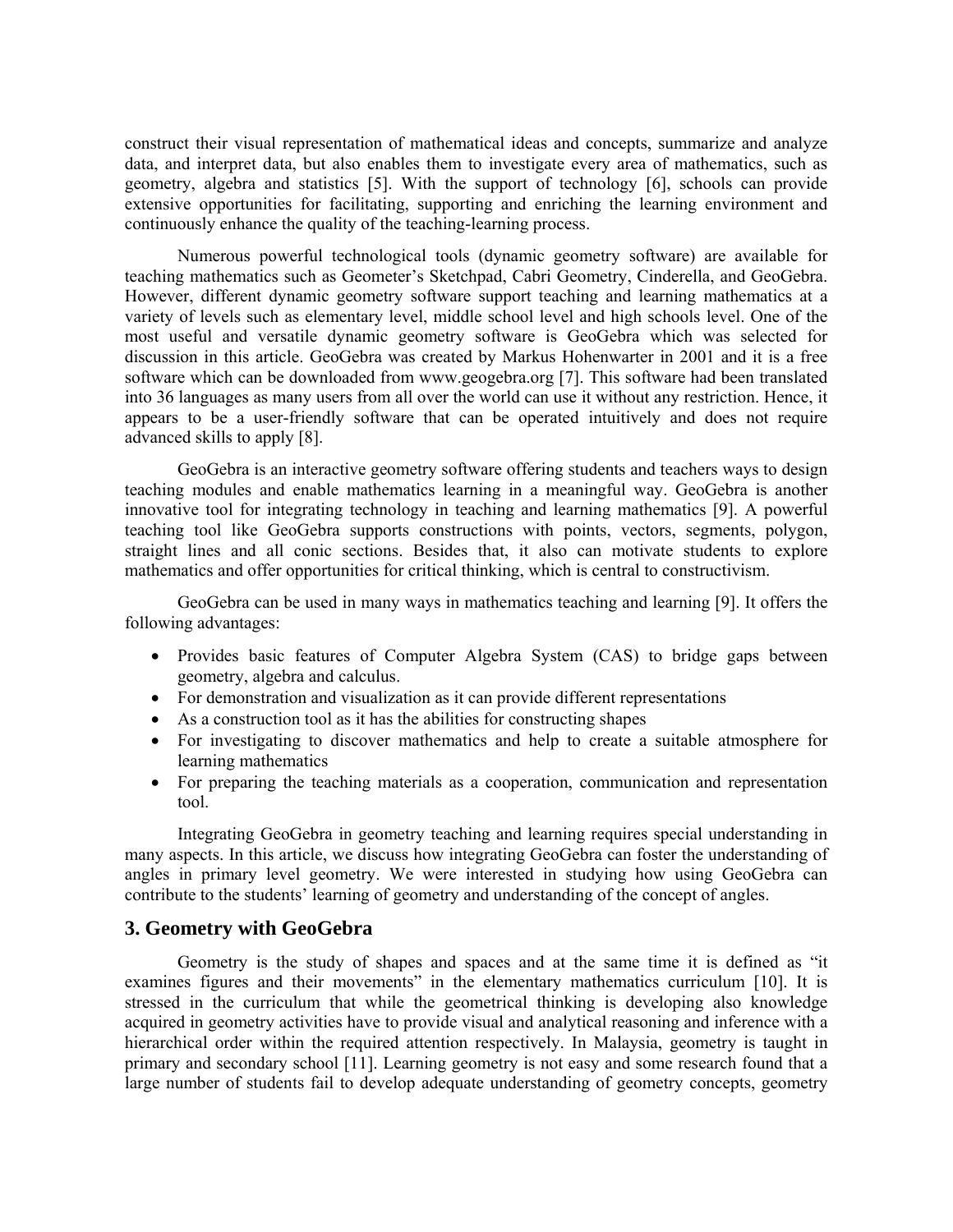construct their visual representation of mathematical ideas and concepts, summarize and analyze data, and interpret data, but also enables them to investigate every area of mathematics, such as geometry, algebra and statistics [5]. With the support of technology [6], schools can provide extensive opportunities for facilitating, supporting and enriching the learning environment and continuously enhance the quality of the teaching-learning process.

Numerous powerful technological tools (dynamic geometry software) are available for teaching mathematics such as Geometer's Sketchpad, Cabri Geometry, Cinderella, and GeoGebra. However, different dynamic geometry software support teaching and learning mathematics at a variety of levels such as elementary level, middle school level and high schools level. One of the most useful and versatile dynamic geometry software is GeoGebra which was selected for discussion in this article. GeoGebra was created by Markus Hohenwarter in 2001 and it is a free software which can be downloaded from www.geogebra.org [7]. This software had been translated into 36 languages as many users from all over the world can use it without any restriction. Hence, it appears to be a user-friendly software that can be operated intuitively and does not require advanced skills to apply [8].

GeoGebra is an interactive geometry software offering students and teachers ways to design teaching modules and enable mathematics learning in a meaningful way. GeoGebra is another innovative tool for integrating technology in teaching and learning mathematics [9]. A powerful teaching tool like GeoGebra supports constructions with points, vectors, segments, polygon, straight lines and all conic sections. Besides that, it also can motivate students to explore mathematics and offer opportunities for critical thinking, which is central to constructivism.

GeoGebra can be used in many ways in mathematics teaching and learning [9]. It offers the following advantages:

- Provides basic features of Computer Algebra System (CAS) to bridge gaps between geometry, algebra and calculus.
- For demonstration and visualization as it can provide different representations
- As a construction tool as it has the abilities for constructing shapes
- For investigating to discover mathematics and help to create a suitable atmosphere for learning mathematics
- For preparing the teaching materials as a cooperation, communication and representation tool.

Integrating GeoGebra in geometry teaching and learning requires special understanding in many aspects. In this article, we discuss how integrating GeoGebra can foster the understanding of angles in primary level geometry. We were interested in studying how using GeoGebra can contribute to the students' learning of geometry and understanding of the concept of angles.

#### **3. Geometry with GeoGebra**

Geometry is the study of shapes and spaces and at the same time it is defined as "it examines figures and their movements" in the elementary mathematics curriculum [10]. It is stressed in the curriculum that while the geometrical thinking is developing also knowledge acquired in geometry activities have to provide visual and analytical reasoning and inference with a hierarchical order within the required attention respectively. In Malaysia, geometry is taught in primary and secondary school [11]. Learning geometry is not easy and some research found that a large number of students fail to develop adequate understanding of geometry concepts, geometry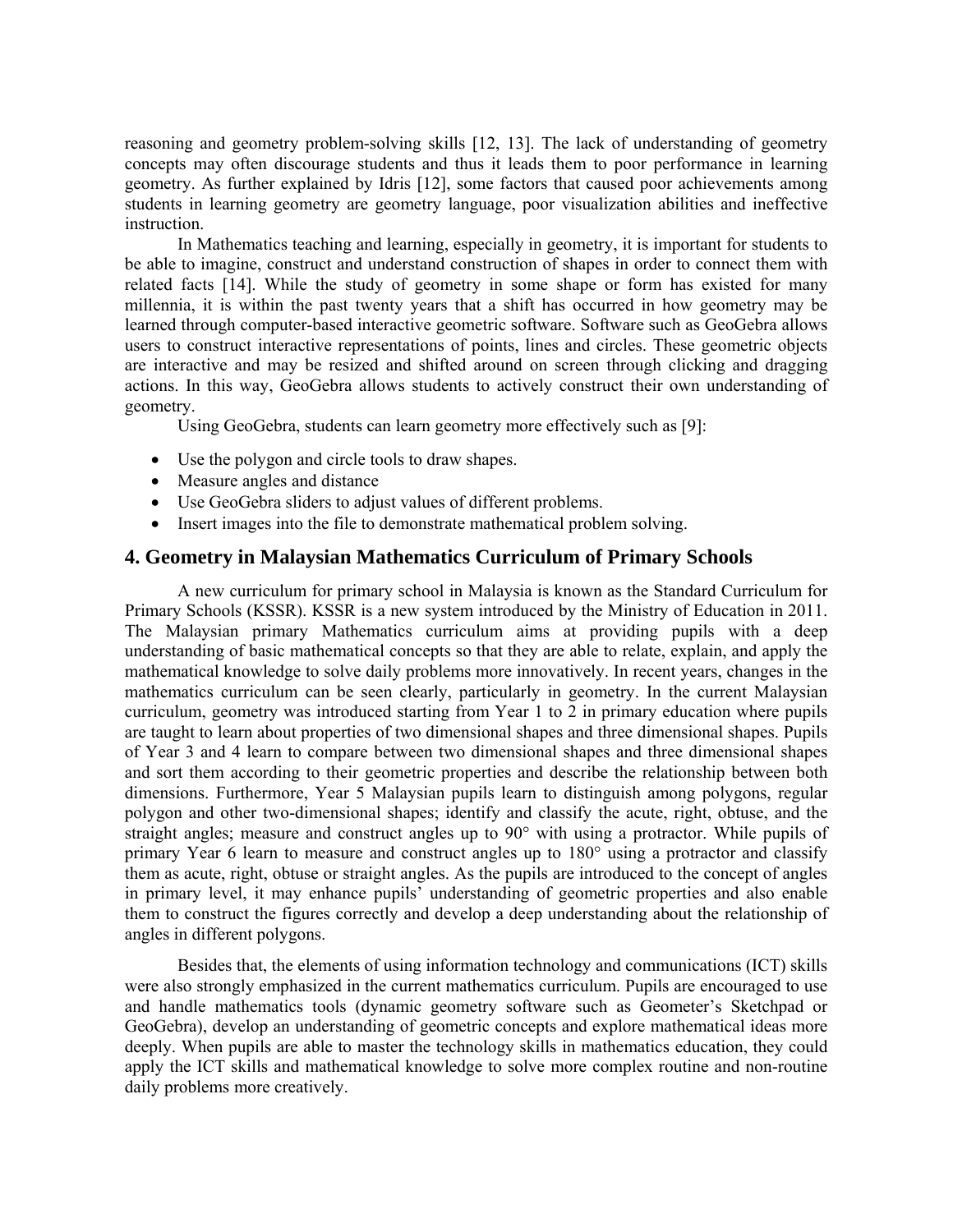reasoning and geometry problem-solving skills [12, 13]. The lack of understanding of geometry concepts may often discourage students and thus it leads them to poor performance in learning geometry. As further explained by Idris [12], some factors that caused poor achievements among students in learning geometry are geometry language, poor visualization abilities and ineffective instruction.

In Mathematics teaching and learning, especially in geometry, it is important for students to be able to imagine, construct and understand construction of shapes in order to connect them with related facts [14]. While the study of geometry in some shape or form has existed for many millennia, it is within the past twenty years that a shift has occurred in how geometry may be learned through computer-based interactive geometric software. Software such as GeoGebra allows users to construct interactive representations of points, lines and circles. These geometric objects are interactive and may be resized and shifted around on screen through clicking and dragging actions. In this way, GeoGebra allows students to actively construct their own understanding of geometry.

Using GeoGebra, students can learn geometry more effectively such as [9]:

- Use the polygon and circle tools to draw shapes.
- Measure angles and distance
- Use GeoGebra sliders to adjust values of different problems.
- Insert images into the file to demonstrate mathematical problem solving.

## **4. Geometry in Malaysian Mathematics Curriculum of Primary Schools**

A new curriculum for primary school in Malaysia is known as the Standard Curriculum for Primary Schools (KSSR). KSSR is a new system introduced by the Ministry of Education in 2011. The Malaysian primary Mathematics curriculum aims at providing pupils with a deep understanding of basic mathematical concepts so that they are able to relate, explain, and apply the mathematical knowledge to solve daily problems more innovatively. In recent years, changes in the mathematics curriculum can be seen clearly, particularly in geometry. In the current Malaysian curriculum, geometry was introduced starting from Year 1 to 2 in primary education where pupils are taught to learn about properties of two dimensional shapes and three dimensional shapes. Pupils of Year 3 and 4 learn to compare between two dimensional shapes and three dimensional shapes and sort them according to their geometric properties and describe the relationship between both dimensions. Furthermore, Year 5 Malaysian pupils learn to distinguish among polygons, regular polygon and other two-dimensional shapes; identify and classify the acute, right, obtuse, and the straight angles; measure and construct angles up to 90° with using a protractor. While pupils of primary Year 6 learn to measure and construct angles up to 180° using a protractor and classify them as acute, right, obtuse or straight angles. As the pupils are introduced to the concept of angles in primary level, it may enhance pupils' understanding of geometric properties and also enable them to construct the figures correctly and develop a deep understanding about the relationship of angles in different polygons.

Besides that, the elements of using information technology and communications (ICT) skills were also strongly emphasized in the current mathematics curriculum. Pupils are encouraged to use and handle mathematics tools (dynamic geometry software such as Geometer's Sketchpad or GeoGebra), develop an understanding of geometric concepts and explore mathematical ideas more deeply. When pupils are able to master the technology skills in mathematics education, they could apply the ICT skills and mathematical knowledge to solve more complex routine and non-routine daily problems more creatively.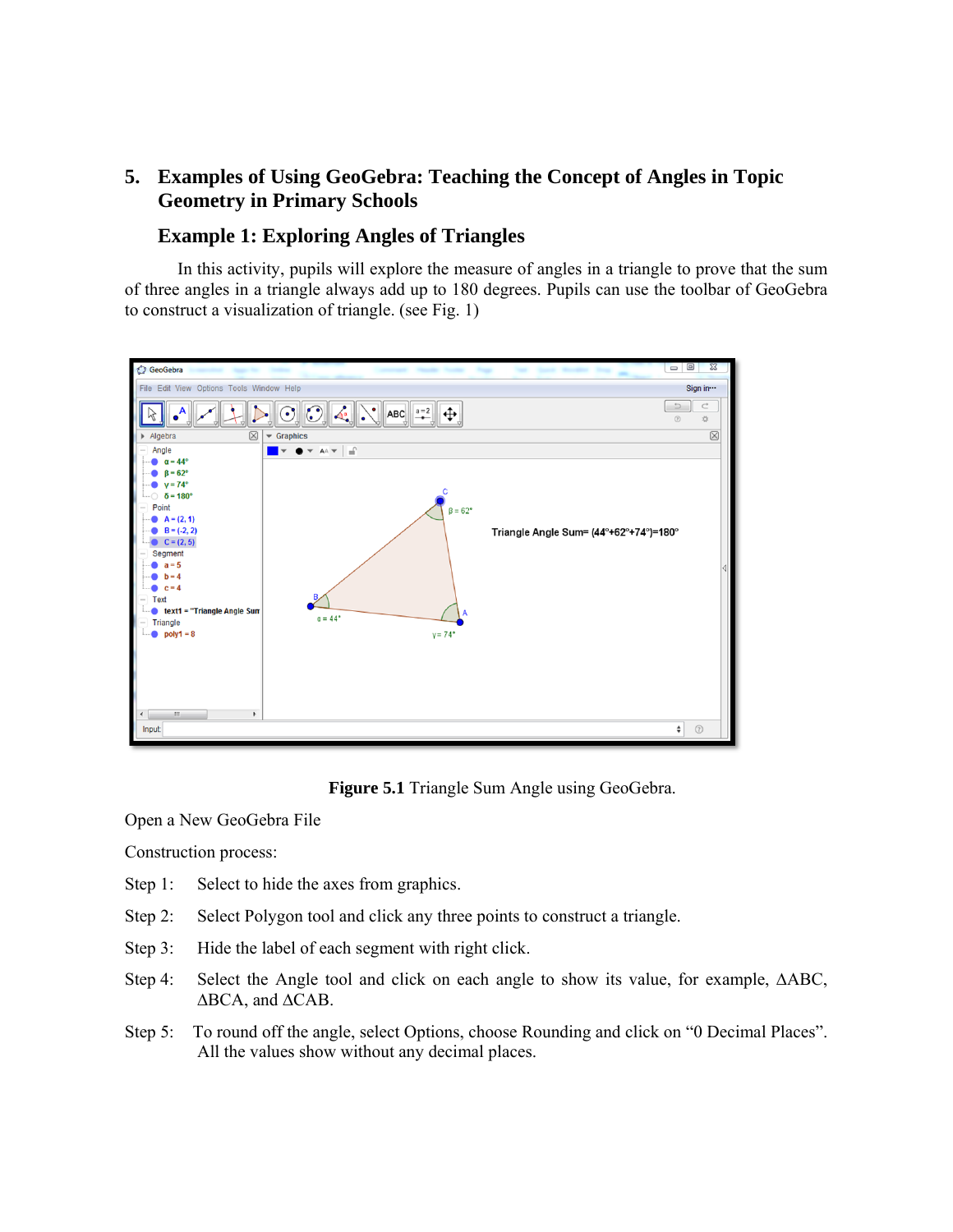# **5. Examples of Using GeoGebra: Teaching the Concept of Angles in Topic Geometry in Primary Schools**

# **Example 1: Exploring Angles of Triangles**

In this activity, pupils will explore the measure of angles in a triangle to prove that the sum of three angles in a triangle always add up to 180 degrees. Pupils can use the toolbar of GeoGebra to construct a visualization of triangle. (see Fig. 1)



**Figure 5.1** Triangle Sum Angle using GeoGebra.

Open a New GeoGebra File

Construction process:

- Step 1: Select to hide the axes from graphics.
- Step 2: Select Polygon tool and click any three points to construct a triangle.
- Step 3: Hide the label of each segment with right click.
- Step 4: Select the Angle tool and click on each angle to show its value, for example, ΔABC, ∆BCA, and ∆CAB.
- Step 5: To round off the angle, select Options, choose Rounding and click on "0 Decimal Places". All the values show without any decimal places.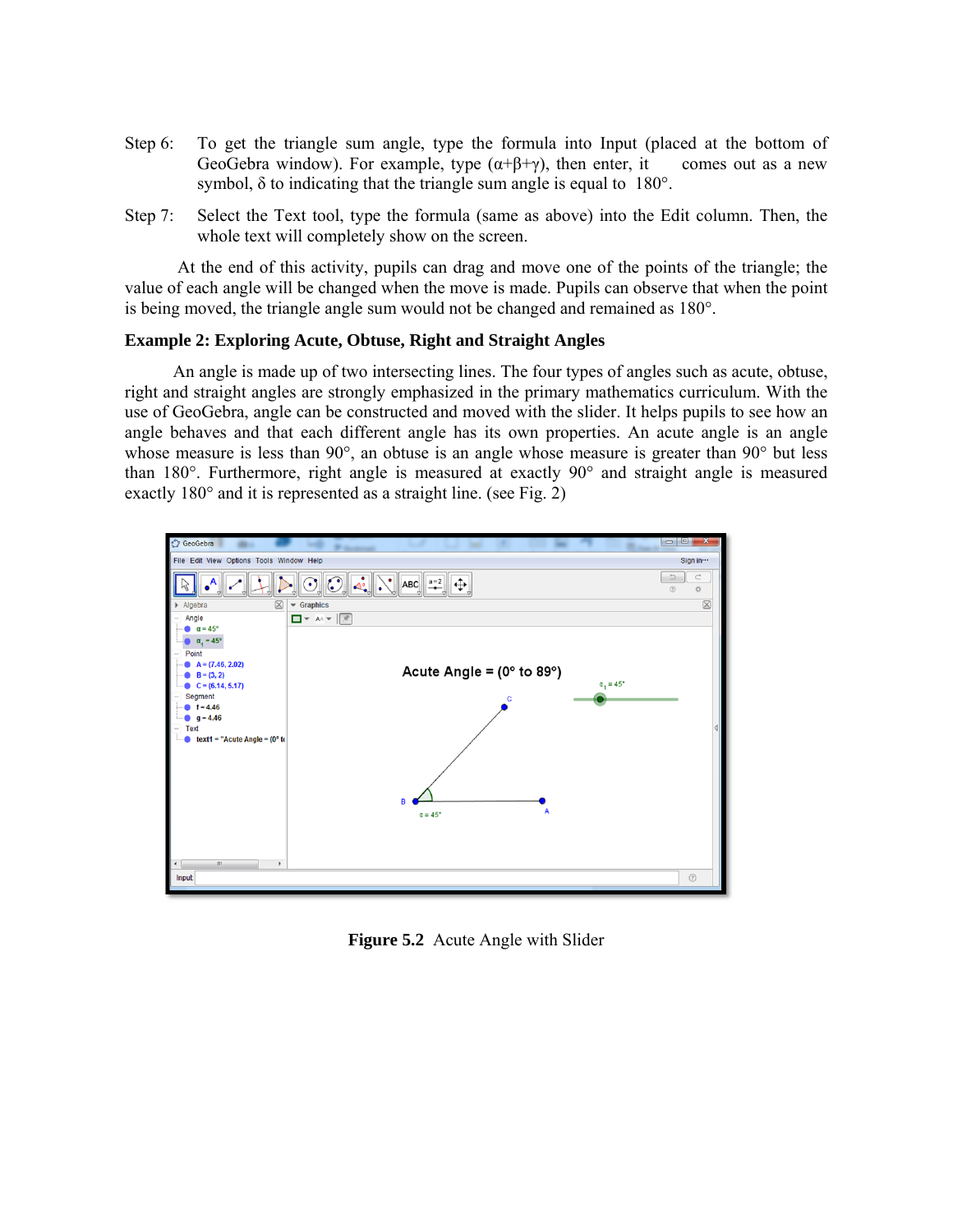- Step 6: To get the triangle sum angle, type the formula into Input (placed at the bottom of GeoGebra window). For example, type  $(\alpha+\beta+\gamma)$ , then enter, it comes out as a new symbol, δ to indicating that the triangle sum angle is equal to 180°.
- Step 7: Select the Text tool, type the formula (same as above) into the Edit column. Then, the whole text will completely show on the screen.

At the end of this activity, pupils can drag and move one of the points of the triangle; the value of each angle will be changed when the move is made. Pupils can observe that when the point is being moved, the triangle angle sum would not be changed and remained as 180°.

#### **Example 2: Exploring Acute, Obtuse, Right and Straight Angles**

 An angle is made up of two intersecting lines. The four types of angles such as acute, obtuse, right and straight angles are strongly emphasized in the primary mathematics curriculum. With the use of GeoGebra, angle can be constructed and moved with the slider. It helps pupils to see how an angle behaves and that each different angle has its own properties. An acute angle is an angle whose measure is less than 90°, an obtuse is an angle whose measure is greater than 90° but less than 180°. Furthermore, right angle is measured at exactly 90° and straight angle is measured exactly 180° and it is represented as a straight line. (see Fig. 2)



**Figure 5.2** Acute Angle with Slider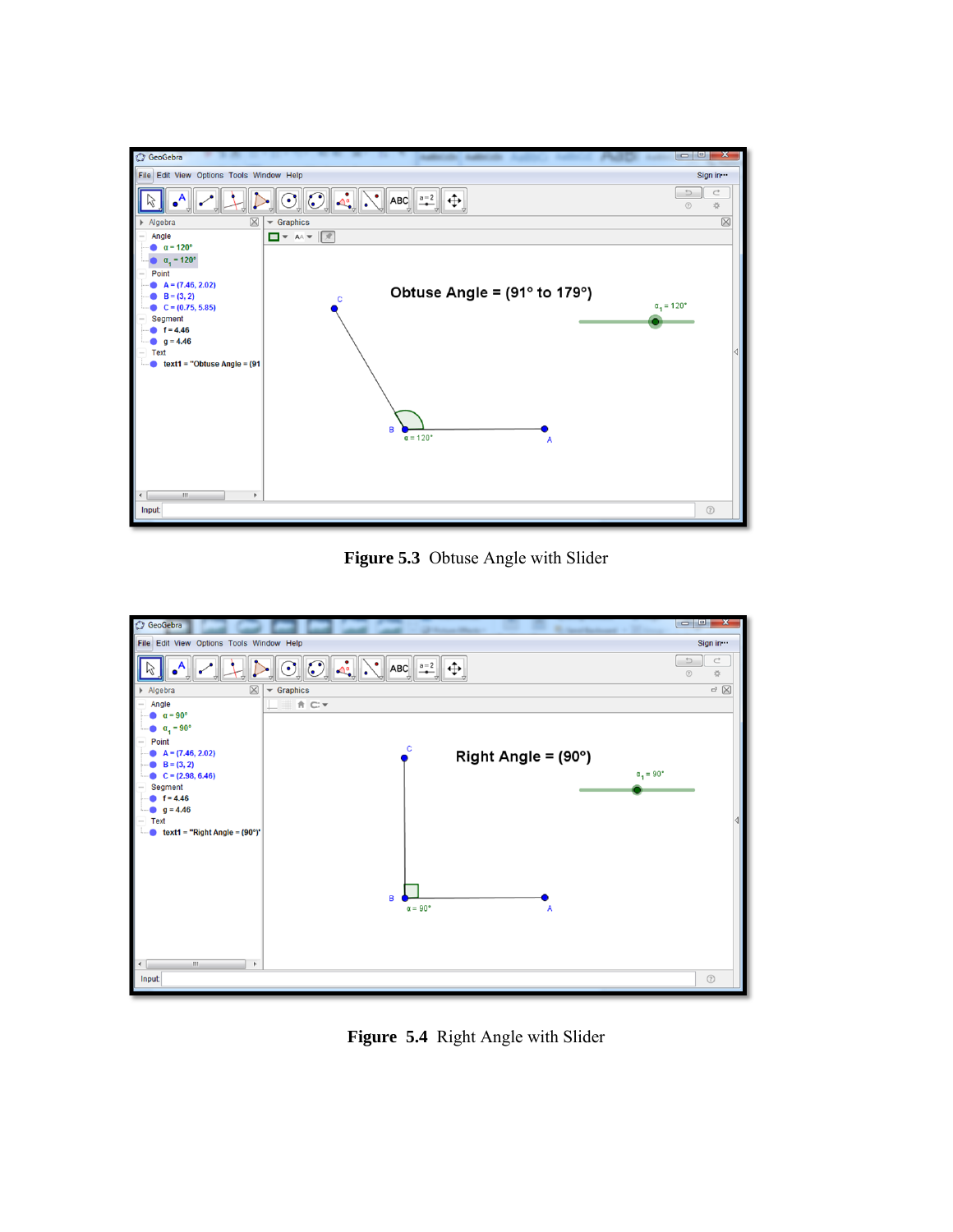

**Figure 5.3** Obtuse Angle with Slider



**Figure 5.4** Right Angle with Slider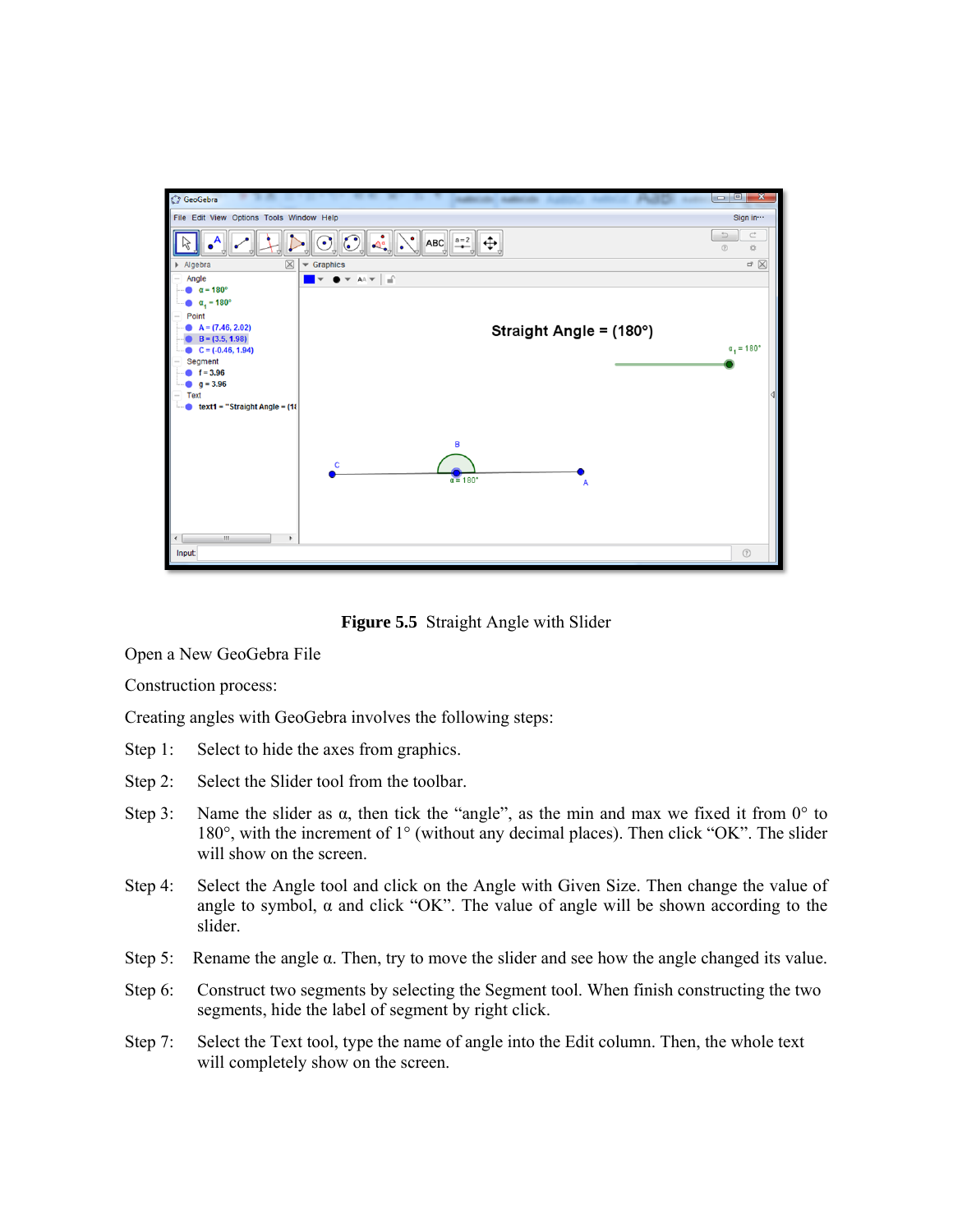

**Figure 5.5** Straight Angle with Slider

Open a New GeoGebra File

Construction process:

Creating angles with GeoGebra involves the following steps:

- Step 1: Select to hide the axes from graphics.
- Step 2: Select the Slider tool from the toolbar.
- Step 3: Name the slider as  $\alpha$ , then tick the "angle", as the min and max we fixed it from  $0^{\circ}$  to 180°, with the increment of 1° (without any decimal places). Then click "OK". The slider will show on the screen.
- Step 4: Select the Angle tool and click on the Angle with Given Size. Then change the value of angle to symbol,  $\alpha$  and click "OK". The value of angle will be shown according to the slider.
- Step 5: Rename the angle  $\alpha$ . Then, try to move the slider and see how the angle changed its value.
- Step 6: Construct two segments by selecting the Segment tool. When finish constructing the two segments, hide the label of segment by right click.
- Step 7: Select the Text tool, type the name of angle into the Edit column. Then, the whole text will completely show on the screen.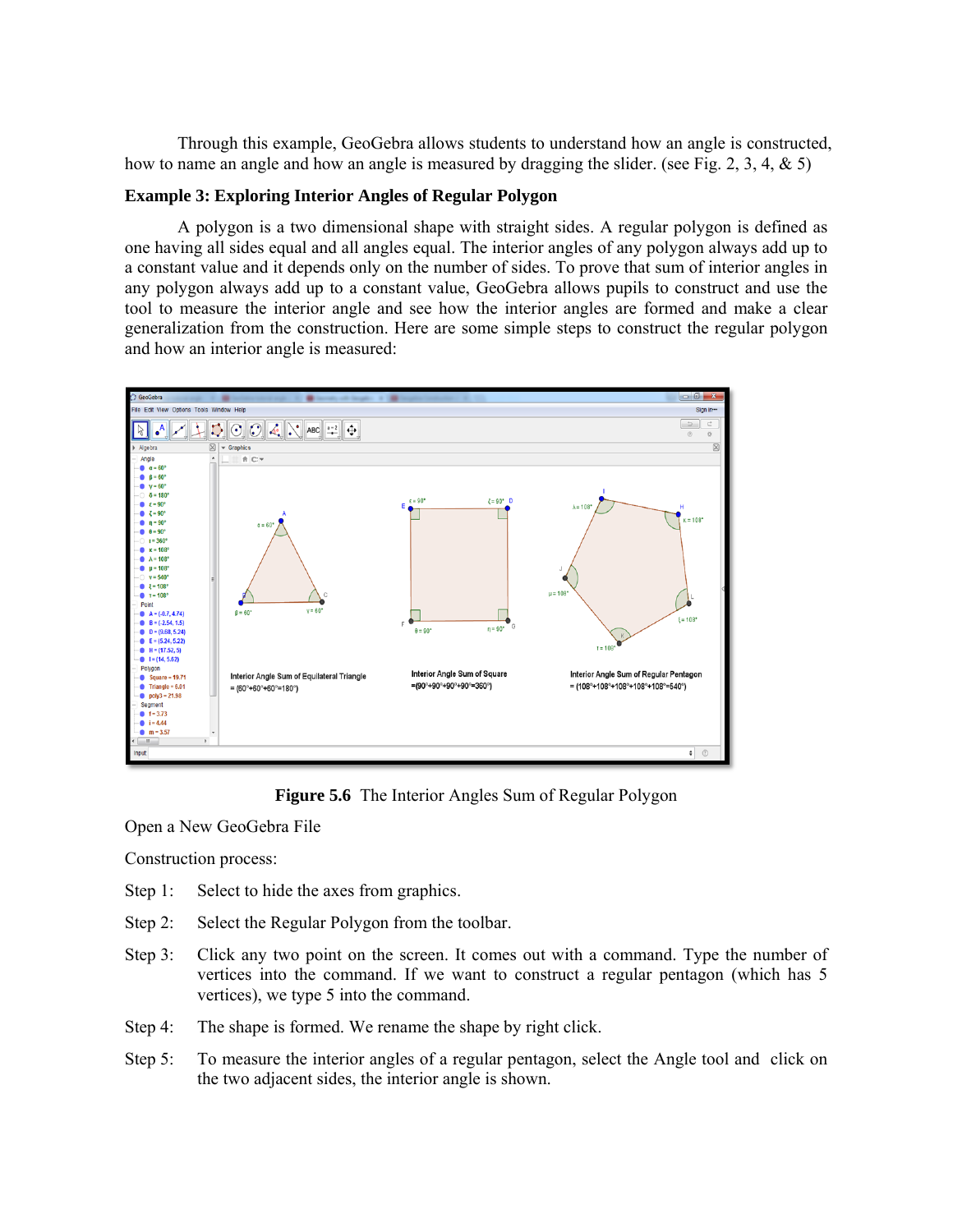Through this example, GeoGebra allows students to understand how an angle is constructed, how to name an angle and how an angle is measured by dragging the slider. (see Fig. 2, 3, 4, & 5)

#### **Example 3: Exploring Interior Angles of Regular Polygon**

 A polygon is a two dimensional shape with straight sides. A regular polygon is defined as one having all sides equal and all angles equal. The interior angles of any polygon always add up to a constant value and it depends only on the number of sides. To prove that sum of interior angles in any polygon always add up to a constant value, GeoGebra allows pupils to construct and use the tool to measure the interior angle and see how the interior angles are formed and make a clear generalization from the construction. Here are some simple steps to construct the regular polygon and how an interior angle is measured:



**Figure 5.6** The Interior Angles Sum of Regular Polygon

Open a New GeoGebra File

Construction process:

- Step 1: Select to hide the axes from graphics.
- Step 2: Select the Regular Polygon from the toolbar.
- Step 3: Click any two point on the screen. It comes out with a command. Type the number of vertices into the command. If we want to construct a regular pentagon (which has 5 vertices), we type 5 into the command.
- Step 4: The shape is formed. We rename the shape by right click.
- Step 5: To measure the interior angles of a regular pentagon, select the Angle tool and click on the two adjacent sides, the interior angle is shown.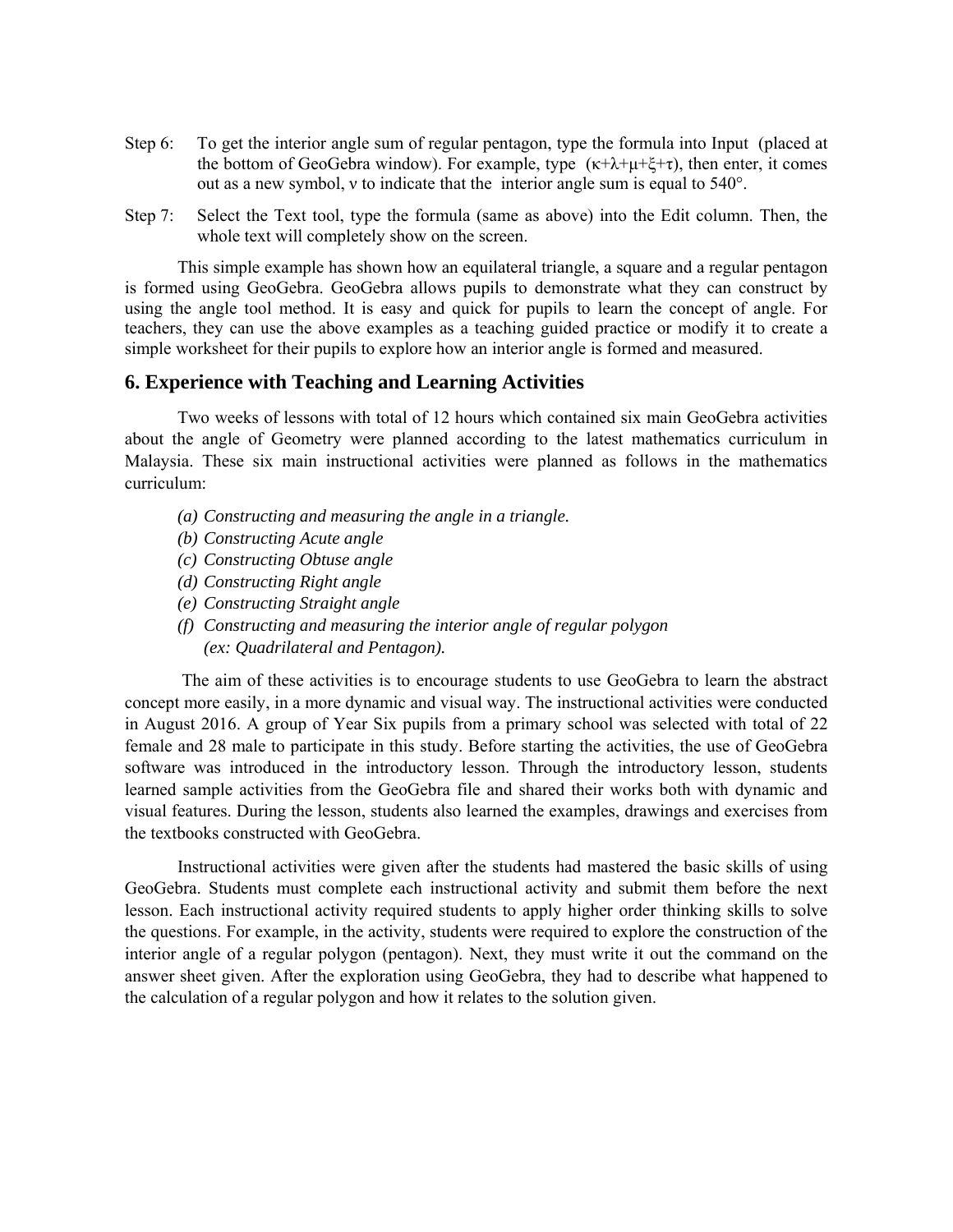- Step 6: To get the interior angle sum of regular pentagon, type the formula into Input (placed at the bottom of GeoGebra window). For example, type  $(\kappa+\lambda+\mu+\xi+\tau)$ , then enter, it comes out as a new symbol, ν to indicate that the interior angle sum is equal to 540°.
- Step 7: Select the Text tool, type the formula (same as above) into the Edit column. Then, the whole text will completely show on the screen.

 This simple example has shown how an equilateral triangle, a square and a regular pentagon is formed using GeoGebra. GeoGebra allows pupils to demonstrate what they can construct by using the angle tool method. It is easy and quick for pupils to learn the concept of angle. For teachers, they can use the above examples as a teaching guided practice or modify it to create a simple worksheet for their pupils to explore how an interior angle is formed and measured.

#### **6. Experience with Teaching and Learning Activities**

Two weeks of lessons with total of 12 hours which contained six main GeoGebra activities about the angle of Geometry were planned according to the latest mathematics curriculum in Malaysia. These six main instructional activities were planned as follows in the mathematics curriculum:

- *(a) Constructing and measuring the angle in a triangle.*
- *(b) Constructing Acute angle*
- *(c) Constructing Obtuse angle*
- *(d) Constructing Right angle*
- *(e) Constructing Straight angle*
- *(f) Constructing and measuring the interior angle of regular polygon (ex: Quadrilateral and Pentagon).*

 The aim of these activities is to encourage students to use GeoGebra to learn the abstract concept more easily, in a more dynamic and visual way. The instructional activities were conducted in August 2016. A group of Year Six pupils from a primary school was selected with total of 22 female and 28 male to participate in this study. Before starting the activities, the use of GeoGebra software was introduced in the introductory lesson. Through the introductory lesson, students learned sample activities from the GeoGebra file and shared their works both with dynamic and visual features. During the lesson, students also learned the examples, drawings and exercises from the textbooks constructed with GeoGebra.

Instructional activities were given after the students had mastered the basic skills of using GeoGebra. Students must complete each instructional activity and submit them before the next lesson. Each instructional activity required students to apply higher order thinking skills to solve the questions. For example, in the activity, students were required to explore the construction of the interior angle of a regular polygon (pentagon). Next, they must write it out the command on the answer sheet given. After the exploration using GeoGebra, they had to describe what happened to the calculation of a regular polygon and how it relates to the solution given.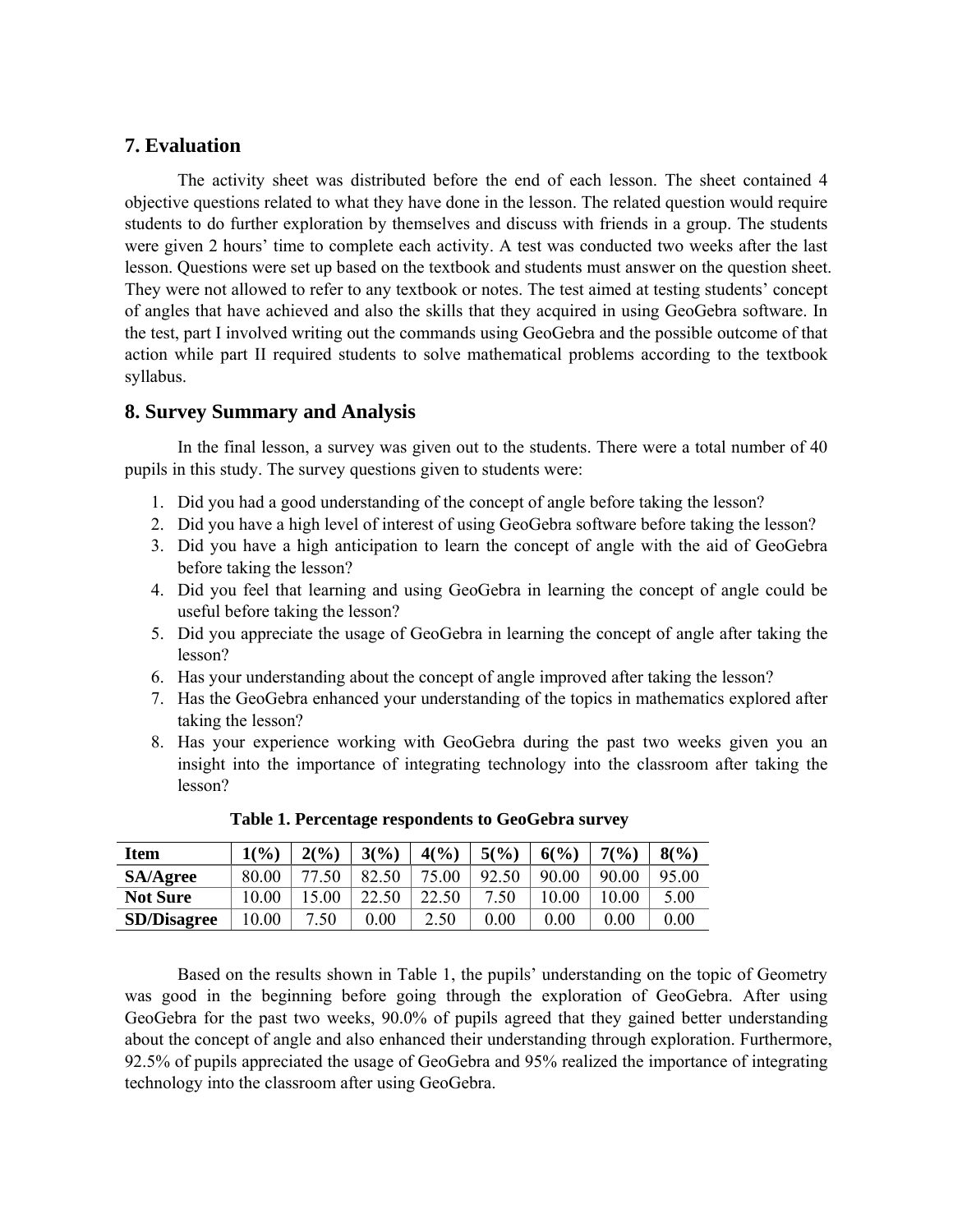# **7. Evaluation**

The activity sheet was distributed before the end of each lesson. The sheet contained 4 objective questions related to what they have done in the lesson. The related question would require students to do further exploration by themselves and discuss with friends in a group. The students were given 2 hours' time to complete each activity. A test was conducted two weeks after the last lesson. Questions were set up based on the textbook and students must answer on the question sheet. They were not allowed to refer to any textbook or notes. The test aimed at testing students' concept of angles that have achieved and also the skills that they acquired in using GeoGebra software. In the test, part I involved writing out the commands using GeoGebra and the possible outcome of that action while part II required students to solve mathematical problems according to the textbook syllabus.

# **8. Survey Summary and Analysis**

 In the final lesson, a survey was given out to the students. There were a total number of 40 pupils in this study. The survey questions given to students were:

- 1. Did you had a good understanding of the concept of angle before taking the lesson?
- 2. Did you have a high level of interest of using GeoGebra software before taking the lesson?
- 3. Did you have a high anticipation to learn the concept of angle with the aid of GeoGebra before taking the lesson?
- 4. Did you feel that learning and using GeoGebra in learning the concept of angle could be useful before taking the lesson?
- 5. Did you appreciate the usage of GeoGebra in learning the concept of angle after taking the lesson?
- 6. Has your understanding about the concept of angle improved after taking the lesson?
- 7. Has the GeoGebra enhanced your understanding of the topics in mathematics explored after taking the lesson?
- 8. Has your experience working with GeoGebra during the past two weeks given you an insight into the importance of integrating technology into the classroom after taking the lesson?

| Item               | 1(%)  | 2(%)  | 3(%)     | 4(%)  | 5(%)  | 6(%)     | 7(%)     | 8(%)     |
|--------------------|-------|-------|----------|-------|-------|----------|----------|----------|
| <b>SA/Agree</b>    | 80.00 | 77.50 | 82.50    | 75.00 | 92.50 | 90.00    | 90.00    | 95.00    |
| <b>Not Sure</b>    | 10.00 | 15.00 | 22.50    | 22.50 | 7.50  | 10.00    | 10.00    | 5.00     |
| <b>SD/Disagree</b> | 10.00 | .50   | $0.00\,$ | 2.50  | 0.00  | $0.00\,$ | $0.00\,$ | $0.00\,$ |

**Table 1. Percentage respondents to GeoGebra survey** 

 Based on the results shown in Table 1, the pupils' understanding on the topic of Geometry was good in the beginning before going through the exploration of GeoGebra. After using GeoGebra for the past two weeks, 90.0% of pupils agreed that they gained better understanding about the concept of angle and also enhanced their understanding through exploration. Furthermore, 92.5% of pupils appreciated the usage of GeoGebra and 95% realized the importance of integrating technology into the classroom after using GeoGebra.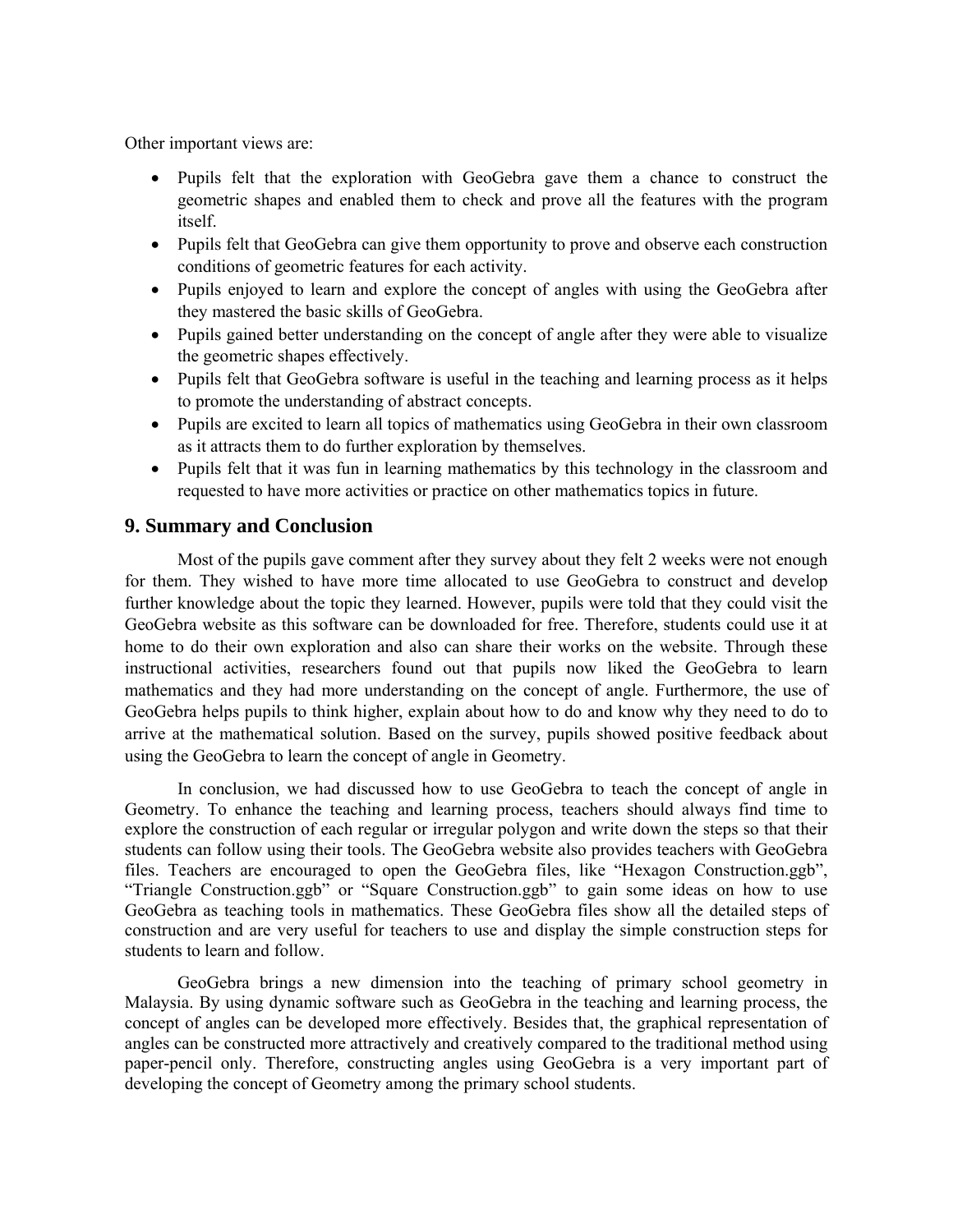Other important views are:

- Pupils felt that the exploration with GeoGebra gave them a chance to construct the geometric shapes and enabled them to check and prove all the features with the program itself.
- Pupils felt that GeoGebra can give them opportunity to prove and observe each construction conditions of geometric features for each activity.
- Pupils enjoyed to learn and explore the concept of angles with using the GeoGebra after they mastered the basic skills of GeoGebra.
- Pupils gained better understanding on the concept of angle after they were able to visualize the geometric shapes effectively.
- Pupils felt that GeoGebra software is useful in the teaching and learning process as it helps to promote the understanding of abstract concepts.
- Pupils are excited to learn all topics of mathematics using GeoGebra in their own classroom as it attracts them to do further exploration by themselves.
- Pupils felt that it was fun in learning mathematics by this technology in the classroom and requested to have more activities or practice on other mathematics topics in future.

# **9. Summary and Conclusion**

Most of the pupils gave comment after they survey about they felt 2 weeks were not enough for them. They wished to have more time allocated to use GeoGebra to construct and develop further knowledge about the topic they learned. However, pupils were told that they could visit the GeoGebra website as this software can be downloaded for free. Therefore, students could use it at home to do their own exploration and also can share their works on the website. Through these instructional activities, researchers found out that pupils now liked the GeoGebra to learn mathematics and they had more understanding on the concept of angle. Furthermore, the use of GeoGebra helps pupils to think higher, explain about how to do and know why they need to do to arrive at the mathematical solution. Based on the survey, pupils showed positive feedback about using the GeoGebra to learn the concept of angle in Geometry.

In conclusion, we had discussed how to use GeoGebra to teach the concept of angle in Geometry. To enhance the teaching and learning process, teachers should always find time to explore the construction of each regular or irregular polygon and write down the steps so that their students can follow using their tools. The GeoGebra website also provides teachers with GeoGebra files. Teachers are encouraged to open the GeoGebra files, like "Hexagon Construction.ggb", "Triangle Construction.ggb" or "Square Construction.ggb" to gain some ideas on how to use GeoGebra as teaching tools in mathematics. These GeoGebra files show all the detailed steps of construction and are very useful for teachers to use and display the simple construction steps for students to learn and follow.

 GeoGebra brings a new dimension into the teaching of primary school geometry in Malaysia. By using dynamic software such as GeoGebra in the teaching and learning process, the concept of angles can be developed more effectively. Besides that, the graphical representation of angles can be constructed more attractively and creatively compared to the traditional method using paper-pencil only. Therefore, constructing angles using GeoGebra is a very important part of developing the concept of Geometry among the primary school students.